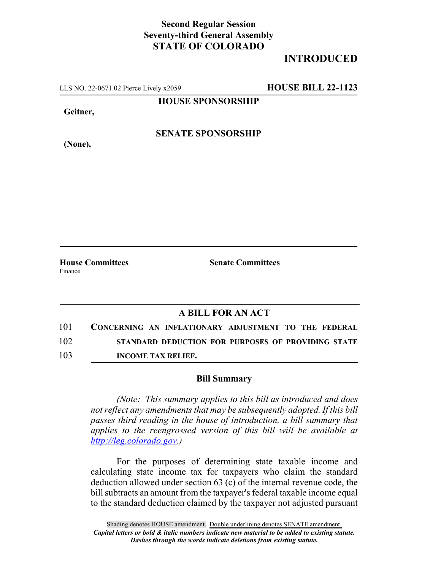## **Second Regular Session Seventy-third General Assembly STATE OF COLORADO**

## **INTRODUCED**

LLS NO. 22-0671.02 Pierce Lively x2059 **HOUSE BILL 22-1123**

**HOUSE SPONSORSHIP**

**Geitner,**

**(None),**

**SENATE SPONSORSHIP**

Finance

**House Committees Senate Committees**

## **A BILL FOR AN ACT**

101 **CONCERNING AN INFLATIONARY ADJUSTMENT TO THE FEDERAL** 102 **STANDARD DEDUCTION FOR PURPOSES OF PROVIDING STATE**

103 **INCOME TAX RELIEF.**

## **Bill Summary**

*(Note: This summary applies to this bill as introduced and does not reflect any amendments that may be subsequently adopted. If this bill passes third reading in the house of introduction, a bill summary that applies to the reengrossed version of this bill will be available at http://leg.colorado.gov.)*

For the purposes of determining state taxable income and calculating state income tax for taxpayers who claim the standard deduction allowed under section 63 (c) of the internal revenue code, the bill subtracts an amount from the taxpayer's federal taxable income equal to the standard deduction claimed by the taxpayer not adjusted pursuant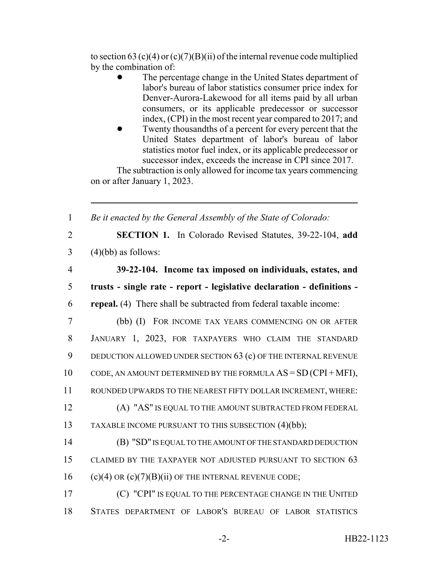to section 63 (c)(4) or (c)(7)(B)(ii) of the internal revenue code multiplied by the combination of:

- The percentage change in the United States department of labor's bureau of labor statistics consumer price index for Denver-Aurora-Lakewood for all items paid by all urban consumers, or its applicable predecessor or successor index, (CPI) in the most recent year compared to 2017; and
- Twenty thousandths of a percent for every percent that the United States department of labor's bureau of labor statistics motor fuel index, or its applicable predecessor or successor index, exceeds the increase in CPI since 2017.

The subtraction is only allowed for income tax years commencing on or after January 1, 2023.

1 *Be it enacted by the General Assembly of the State of Colorado:*

2 **SECTION 1.** In Colorado Revised Statutes, 39-22-104, **add**  $3 \qquad (4)$ (bb) as follows:

| $\overline{4}$ | 39-22-104. Income tax imposed on individuals, estates, and              |
|----------------|-------------------------------------------------------------------------|
| 5              | trusts - single rate - report - legislative declaration - definitions - |
| 6              | repeal. (4) There shall be subtracted from federal taxable income:      |
| 7              | (bb) (I) FOR INCOME TAX YEARS COMMENCING ON OR AFTER                    |
| 8              | JANUARY 1, 2023, FOR TAXPAYERS WHO CLAIM THE STANDARD                   |
| 9              | DEDUCTION ALLOWED UNDER SECTION $63$ (c) OF THE INTERNAL REVENUE        |
| 10             | CODE, AN AMOUNT DETERMINED BY THE FORMULA $AS = SD (CPI + MFI)$ ,       |
| 11             | ROUNDED UPWARDS TO THE NEAREST FIFTY DOLLAR INCREMENT, WHERE:           |
| 12             | (A) "AS" IS EQUAL TO THE AMOUNT SUBTRACTED FROM FEDERAL                 |
| 13             | TAXABLE INCOME PURSUANT TO THIS SUBSECTION (4)(bb);                     |
| 14             | (B) "SD" IS EQUAL TO THE AMOUNT OF THE STANDARD DEDUCTION               |
| 15             | CLAIMED BY THE TAXPAYER NOT ADJUSTED PURSUANT TO SECTION 63             |
|                |                                                                         |

- 16  $(c)(4)$  OR  $(c)(7)(B)(ii)$  OF THE INTERNAL REVENUE CODE;
- 17 (C) "CPI" IS EQUAL TO THE PERCENTAGE CHANGE IN THE UNITED 18 STATES DEPARTMENT OF LABOR'S BUREAU OF LABOR STATISTICS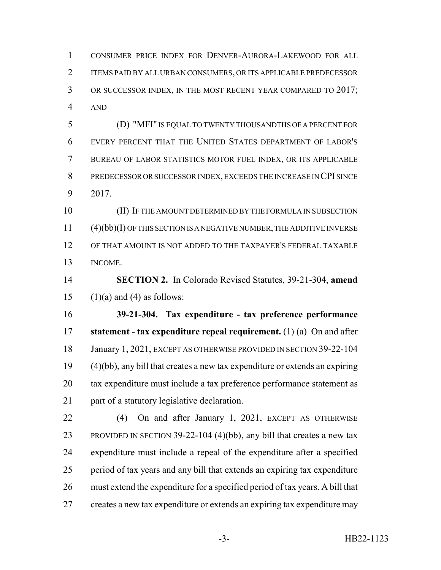CONSUMER PRICE INDEX FOR DENVER-AURORA-LAKEWOOD FOR ALL ITEMS PAID BY ALL URBAN CONSUMERS, OR ITS APPLICABLE PREDECESSOR OR SUCCESSOR INDEX, IN THE MOST RECENT YEAR COMPARED TO 2017; AND

 (D) "MFI" IS EQUAL TO TWENTY THOUSANDTHS OF A PERCENT FOR EVERY PERCENT THAT THE UNITED STATES DEPARTMENT OF LABOR'S BUREAU OF LABOR STATISTICS MOTOR FUEL INDEX, OR ITS APPLICABLE PREDECESSOR OR SUCCESSOR INDEX, EXCEEDS THE INCREASE IN CPI SINCE 2017.

 (II) IF THE AMOUNT DETERMINED BY THE FORMULA IN SUBSECTION (4)(bb)(I) OF THIS SECTION IS A NEGATIVE NUMBER, THE ADDITIVE INVERSE OF THAT AMOUNT IS NOT ADDED TO THE TAXPAYER'S FEDERAL TAXABLE INCOME.

 **SECTION 2.** In Colorado Revised Statutes, 39-21-304, **amend** 15  $(1)(a)$  and (4) as follows:

 **39-21-304. Tax expenditure - tax preference performance statement - tax expenditure repeal requirement.** (1) (a) On and after 18 January 1, 2021, EXCEPT AS OTHERWISE PROVIDED IN SECTION 39-22-104 (4)(bb), any bill that creates a new tax expenditure or extends an expiring tax expenditure must include a tax preference performance statement as part of a statutory legislative declaration.

 (4) On and after January 1, 2021, EXCEPT AS OTHERWISE PROVIDED IN SECTION 39-22-104 (4)(bb), any bill that creates a new tax expenditure must include a repeal of the expenditure after a specified period of tax years and any bill that extends an expiring tax expenditure must extend the expenditure for a specified period of tax years. A bill that creates a new tax expenditure or extends an expiring tax expenditure may